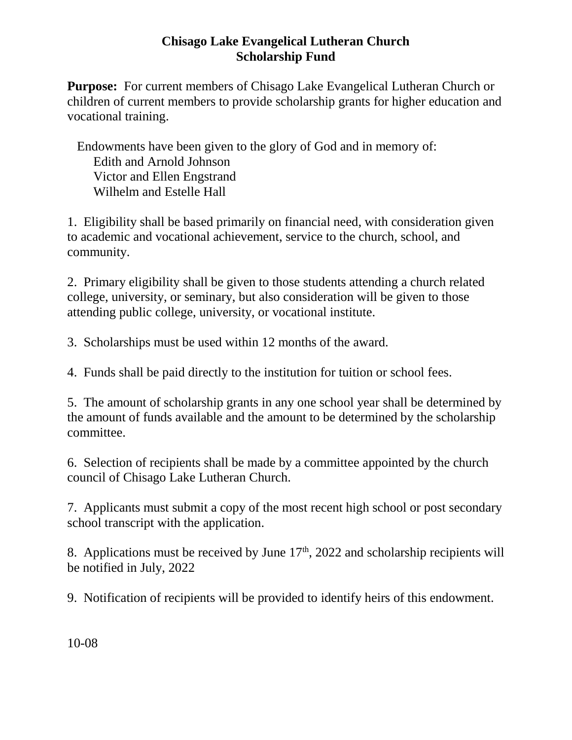## **Chisago Lake Evangelical Lutheran Church Scholarship Fund**

**Purpose:** For current members of Chisago Lake Evangelical Lutheran Church or children of current members to provide scholarship grants for higher education and vocational training.

 Endowments have been given to the glory of God and in memory of: Edith and Arnold Johnson Victor and Ellen Engstrand Wilhelm and Estelle Hall

1. Eligibility shall be based primarily on financial need, with consideration given to academic and vocational achievement, service to the church, school, and community.

2. Primary eligibility shall be given to those students attending a church related college, university, or seminary, but also consideration will be given to those attending public college, university, or vocational institute.

3. Scholarships must be used within 12 months of the award.

4. Funds shall be paid directly to the institution for tuition or school fees.

5. The amount of scholarship grants in any one school year shall be determined by the amount of funds available and the amount to be determined by the scholarship committee.

6. Selection of recipients shall be made by a committee appointed by the church council of Chisago Lake Lutheran Church.

7. Applicants must submit a copy of the most recent high school or post secondary school transcript with the application.

8. Applications must be received by June  $17<sup>th</sup>$ , 2022 and scholarship recipients will be notified in July, 2022

9. Notification of recipients will be provided to identify heirs of this endowment.

10-08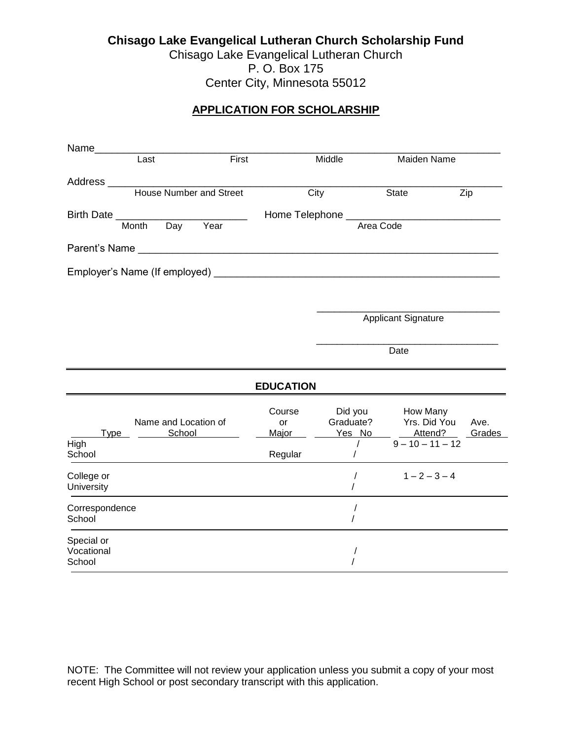**Chisago Lake Evangelical Lutheran Church Scholarship Fund** Chisago Lake Evangelical Lutheran Church P. O. Box 175 Center City, Minnesota 55012

### **APPLICATION FOR SCHOLARSHIP**

|                                    | Last                           | First    |                  | Middle               |                            | Maiden Name |        |
|------------------------------------|--------------------------------|----------|------------------|----------------------|----------------------------|-------------|--------|
| Address _______________            |                                |          |                  |                      |                            |             |        |
|                                    | <b>House Number and Street</b> |          |                  | City                 | State                      | Zip         |        |
| Birth Date _________               |                                |          |                  |                      |                            |             |        |
|                                    | Month                          | Day Year |                  |                      | Area Code                  |             |        |
|                                    | Parent's Name                  |          |                  |                      |                            |             |        |
|                                    |                                |          |                  |                      |                            |             |        |
|                                    |                                |          |                  |                      |                            |             |        |
|                                    |                                |          |                  |                      |                            |             |        |
|                                    |                                |          |                  |                      | <b>Applicant Signature</b> |             |        |
|                                    |                                |          |                  |                      |                            |             |        |
|                                    |                                |          |                  |                      | Date                       |             |        |
|                                    |                                |          | <b>EDUCATION</b> |                      |                            |             |        |
|                                    |                                |          | Course           | Did you              | How Many                   |             |        |
|                                    | Name and Location of           |          | or               | Graduate?            | Yrs. Did You               |             | Ave.   |
| Type<br>High                       | School                         |          | Major            | Yes No<br>$\prime$   | $9 - 10 - 11 - 12$         | Attend?     | Grades |
| School                             |                                |          | Regular          |                      |                            |             |        |
| College or<br>University           |                                |          |                  | $\prime$<br>$\prime$ | $1 - 2 - 3 - 4$            |             |        |
| Correspondence<br>School           |                                |          |                  | $\prime$             |                            |             |        |
| Special or<br>Vocational<br>School |                                |          |                  |                      |                            |             |        |

NOTE: The Committee will not review your application unless you submit a copy of your most recent High School or post secondary transcript with this application.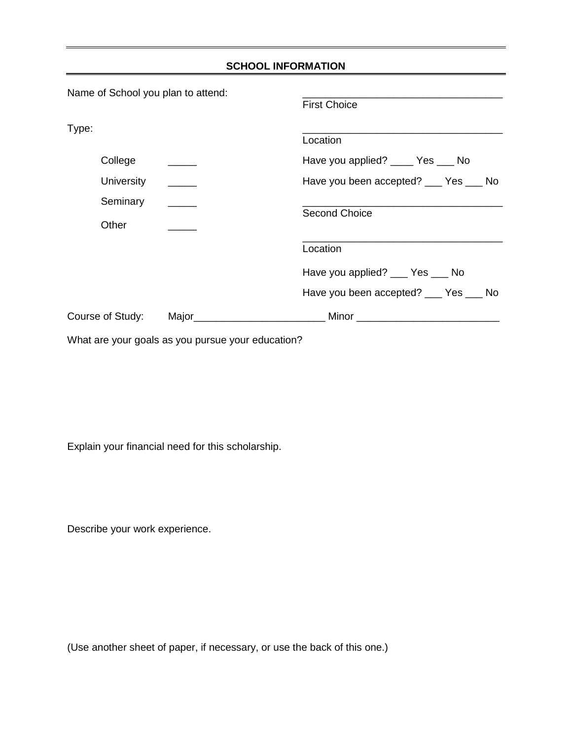|                                             |                                                             | <b>SCHOOL INFORMATION</b>            |
|---------------------------------------------|-------------------------------------------------------------|--------------------------------------|
| Name of School you plan to attend:<br>Type: |                                                             | <b>First Choice</b>                  |
|                                             |                                                             | Location                             |
| College                                     |                                                             | Have you applied? _____ Yes ____ No  |
| University                                  |                                                             | Have you been accepted? __ Yes __ No |
| Seminary                                    |                                                             |                                      |
| Other                                       |                                                             | <b>Second Choice</b>                 |
|                                             |                                                             | Location                             |
|                                             |                                                             | Have you applied? __ Yes __ No       |
|                                             |                                                             | Have you been accepted? __ Yes __ No |
|                                             |                                                             |                                      |
|                                             | $\mathbf{u} \cdot \mathbf{v} = \mathbf{v} \cdot \mathbf{v}$ |                                      |

What are your goals as you pursue your education?

Explain your financial need for this scholarship.

Describe your work experience.

(Use another sheet of paper, if necessary, or use the back of this one.)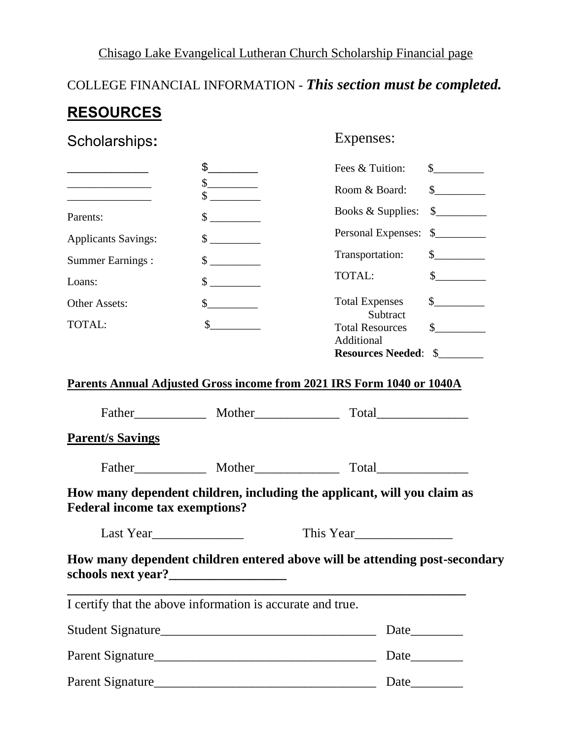# Chisago Lake Evangelical Lutheran Church Scholarship Financial page

# COLLEGE FINANCIAL INFORMATION - *This section must be completed.* **RESOURCES**

| Scholarships: |  |
|---------------|--|
|               |  |

# Expenses:

|                            | Fees & Tuition:                         | \$            |
|----------------------------|-----------------------------------------|---------------|
|                            | \$<br>Room & Board:                     | $\mathbb{S}$  |
| Parents:                   | \$<br>Books & Supplies:                 | $\mathcal{S}$ |
| <b>Applicants Savings:</b> | \$<br>Personal Expenses: \$             |               |
| <b>Summer Earnings:</b>    | \$<br>Transportation:                   | \$            |
| Loans:                     | \$<br>TOTAL:                            |               |
| Other Assets:              | \$<br><b>Total Expenses</b><br>Subtract | \$.           |
| <b>TOTAL:</b>              | <b>Total Resources</b><br>Additional    | \$.           |
|                            | <b>Resources Needed: \$</b>             |               |

### **Parents Annual Adjusted Gross income from 2021 IRS Form 1040 or 1040A**

| <b>Parent/s Savings</b>                                                         |                                                            |                                                                            |  |
|---------------------------------------------------------------------------------|------------------------------------------------------------|----------------------------------------------------------------------------|--|
|                                                                                 |                                                            |                                                                            |  |
| <b>Federal income tax exemptions?</b>                                           |                                                            | How many dependent children, including the applicant, will you claim as    |  |
|                                                                                 | Last Year<br>This Year                                     |                                                                            |  |
|                                                                                 |                                                            | How many dependent children entered above will be attending post-secondary |  |
|                                                                                 | I certify that the above information is accurate and true. |                                                                            |  |
|                                                                                 |                                                            |                                                                            |  |
| $D_{\alpha}$ $\leftrightarrow$ $C_{\alpha}$ $\leftrightarrow$ $\leftrightarrow$ |                                                            | $\Gamma$ <sub>0<sup>to</sup></sub>                                         |  |

| Student Signature | Date |
|-------------------|------|
| Parent Signature  | Date |
| Parent Signature  | Date |